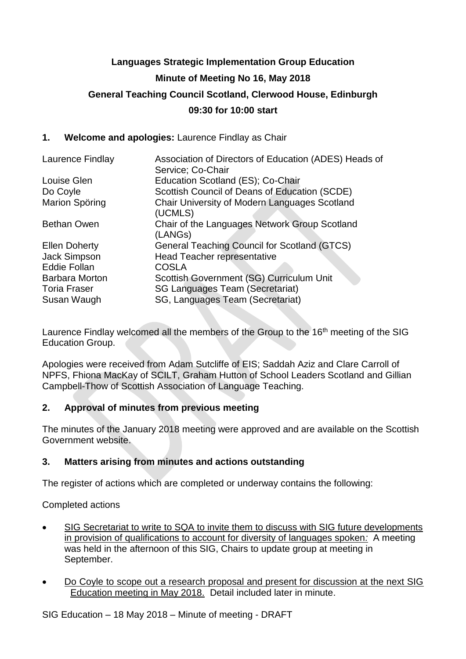# **Languages Strategic Implementation Group Education Minute of Meeting No 16, May 2018 General Teaching Council Scotland, Clerwood House, Edinburgh 09:30 for 10:00 start**

## **1. Welcome and apologies:** Laurence Findlay as Chair

| Laurence Findlay      | Association of Directors of Education (ADES) Heads of<br>Service; Co-Chair |
|-----------------------|----------------------------------------------------------------------------|
| Louise Glen           | Education Scotland (ES); Co-Chair                                          |
| Do Coyle              | Scottish Council of Deans of Education (SCDE)                              |
| Marion Spöring        | Chair University of Modern Languages Scotland<br>(UCMLS)                   |
| <b>Bethan Owen</b>    | Chair of the Languages Network Group Scotland<br>(LANGs)                   |
| <b>Ellen Doherty</b>  | <b>General Teaching Council for Scotland (GTCS)</b>                        |
| Jack Simpson          | Head Teacher representative                                                |
| <b>Eddie Follan</b>   | <b>COSLA</b>                                                               |
| <b>Barbara Morton</b> | Scottish Government (SG) Curriculum Unit                                   |
| <b>Toria Fraser</b>   | <b>SG Languages Team (Secretariat)</b>                                     |
| Susan Waugh           | SG, Languages Team (Secretariat)                                           |

Laurence Findlay welcomed all the members of the Group to the 16<sup>th</sup> meeting of the SIG Education Group.

Apologies were received from Adam Sutcliffe of EIS; Saddah Aziz and Clare Carroll of NPFS, Fhiona MacKay of SCILT, Graham Hutton of School Leaders Scotland and Gillian Campbell-Thow of Scottish Association of Language Teaching.

## **2. Approval of minutes from previous meeting**

The minutes of the January 2018 meeting were approved and are available on the Scottish Government website.

## **3. Matters arising from minutes and actions outstanding**

The register of actions which are completed or underway contains the following:

Completed actions

- SIG Secretariat to write to SQA to invite them to discuss with SIG future developments in provision of qualifications to account for diversity of languages spoken*:* A meeting was held in the afternoon of this SIG, Chairs to update group at meeting in September.
- Do Coyle to scope out a research proposal and present for discussion at the next SIG Education meeting in May 2018. Detail included later in minute.

SIG Education – 18 May 2018 – Minute of meeting - DRAFT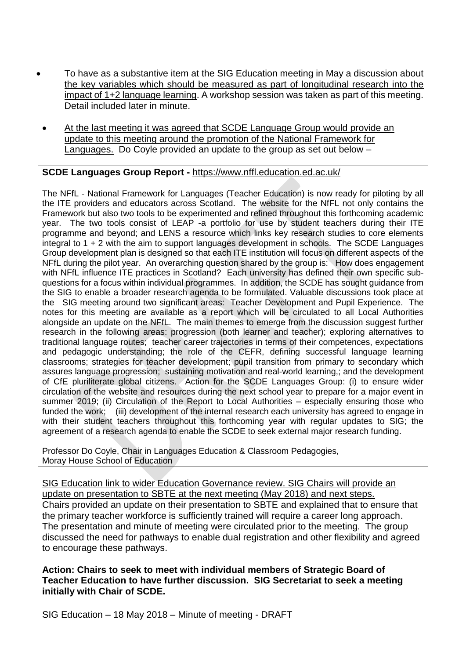- To have as a substantive item at the SIG Education meeting in May a discussion about the key variables which should be measured as part of longitudinal research into the impact of 1+2 language learning. A workshop session was taken as part of this meeting. Detail included later in minute.
	- At the last meeting it was agreed that SCDE Language Group would provide an update to this meeting around the promotion of the National Framework for Languages. Do Coyle provided an update to the group as set out below –

## **SCDE Languages Group Report -** <https://www.nffl.education.ed.ac.uk/>

The NFfL - National Framework for Languages (Teacher Education) is now ready for piloting by all the ITE providers and educators across Scotland. The website for the NfFL not only contains the Framework but also two tools to be experimented and refined throughout this forthcoming academic year. The two tools consist of LEAP -a portfolio for use by student teachers during their ITE programme and beyond; and LENS a resource which links key research studies to core elements integral to 1 + 2 with the aim to support languages development in schools. The SCDE Languages Group development plan is designed so that each ITE institution will focus on different aspects of the NFfL during the pilot year. An overarching question shared by the group is: How does engagement with NFfL influence ITE practices in Scotland? Each university has defined their own specific subquestions for a focus within individual programmes. In addition, the SCDE has sought guidance from the SIG to enable a broader research agenda to be formulated. Valuable discussions took place at the SIG meeting around two significant areas: Teacher Development and Pupil Experience. The notes for this meeting are available as a report which will be circulated to all Local Authorities alongside an update on the NFfL. The main themes to emerge from the discussion suggest further research in the following areas: progression (both learner and teacher); exploring alternatives to traditional language routes; teacher career trajectories in terms of their competences, expectations and pedagogic understanding; the role of the CEFR, defining successful language learning classrooms; strategies for teacher development; pupil transition from primary to secondary which assures language progression; sustaining motivation and real-world learning,; and the development of CfE pluriliterate global citizens. Action for the SCDE Languages Group: (i) to ensure wider circulation of the website and resources during the next school year to prepare for a major event in summer 2019; (ii) Circulation of the Report to Local Authorities – especially ensuring those who funded the work; (iii) development of the internal research each university has agreed to engage in with their student teachers throughout this forthcoming year with regular updates to SIG; the agreement of a research agenda to enable the SCDE to seek external major research funding.

Professor Do Coyle, Chair in Languages Education & Classroom Pedagogies, Moray House School of Education

SIG Education link to wider Education Governance review. SIG Chairs will provide an update on presentation to SBTE at the next meeting (May 2018) and next steps. Chairs provided an update on their presentation to SBTE and explained that to ensure that the primary teacher workforce is sufficiently trained will require a career long approach. The presentation and minute of meeting were circulated prior to the meeting. The group discussed the need for pathways to enable dual registration and other flexibility and agreed to encourage these pathways.

**Action: Chairs to seek to meet with individual members of Strategic Board of Teacher Education to have further discussion. SIG Secretariat to seek a meeting initially with Chair of SCDE.** 

SIG Education – 18 May 2018 – Minute of meeting - DRAFT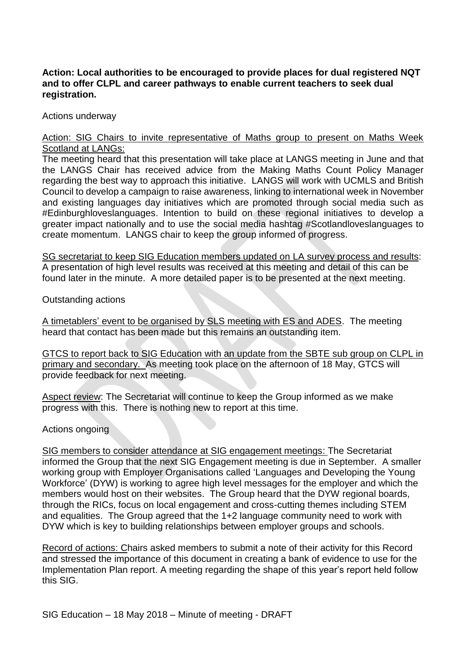## **Action: Local authorities to be encouraged to provide places for dual registered NQT and to offer CLPL and career pathways to enable current teachers to seek dual registration.**

Actions underway

#### Action: SIG Chairs to invite representative of Maths group to present on Maths Week Scotland at LANGs:

The meeting heard that this presentation will take place at LANGS meeting in June and that the LANGS Chair has received advice from the Making Maths Count Policy Manager regarding the best way to approach this initiative. LANGS will work with UCMLS and British Council to develop a campaign to raise awareness, linking to international week in November and existing languages day initiatives which are promoted through social media such as #Edinburghloveslanguages. Intention to build on these regional initiatives to develop a greater impact nationally and to use the social media hashtag #Scotlandloveslanguages to create momentum. LANGS chair to keep the group informed of progress.

SG secretariat to keep SIG Education members updated on LA survey process and results: A presentation of high level results was received at this meeting and detail of this can be found later in the minute. A more detailed paper is to be presented at the next meeting.

Outstanding actions

A timetablers' event to be organised by SLS meeting with ES and ADES. The meeting heard that contact has been made but this remains an outstanding item.

GTCS to report back to SIG Education with an update from the SBTE sub group on CLPL in primary and secondary. As meeting took place on the afternoon of 18 May, GTCS will provide feedback for next meeting.

Aspect review: The Secretariat will continue to keep the Group informed as we make progress with this. There is nothing new to report at this time.

Actions ongoing

SIG members to consider attendance at SIG engagement meetings: The Secretariat informed the Group that the next SIG Engagement meeting is due in September. A smaller working group with Employer Organisations called 'Languages and Developing the Young Workforce' (DYW) is working to agree high level messages for the employer and which the members would host on their websites. The Group heard that the DYW regional boards, through the RICs, focus on local engagement and cross-cutting themes including STEM and equalities. The Group agreed that the 1+2 language community need to work with DYW which is key to building relationships between employer groups and schools.

Record of actions: Chairs asked members to submit a note of their activity for this Record and stressed the importance of this document in creating a bank of evidence to use for the Implementation Plan report. A meeting regarding the shape of this year's report held follow this SIG.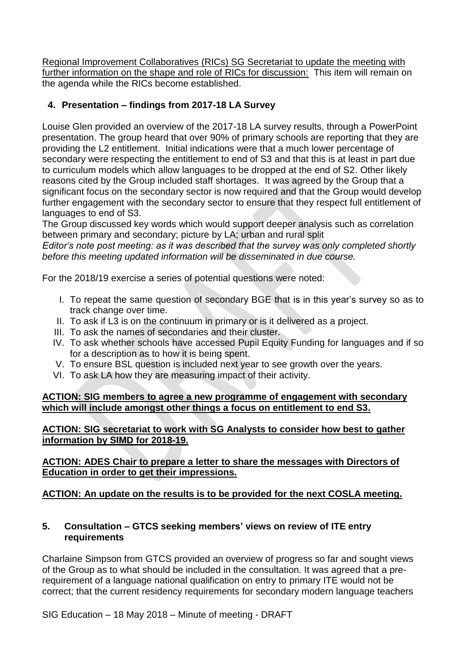Regional Improvement Collaboratives (RICs) SG Secretariat to update the meeting with further information on the shape and role of RICs for discussion: This item will remain on the agenda while the RICs become established.

## **4. Presentation – findings from 2017-18 LA Survey**

Louise Glen provided an overview of the 2017-18 LA survey results, through a PowerPoint presentation. The group heard that over 90% of primary schools are reporting that they are providing the L2 entitlement. Initial indications were that a much lower percentage of secondary were respecting the entitlement to end of S3 and that this is at least in part due to curriculum models which allow languages to be dropped at the end of S2. Other likely reasons cited by the Group included staff shortages. It was agreed by the Group that a significant focus on the secondary sector is now required and that the Group would develop further engagement with the secondary sector to ensure that they respect full entitlement of languages to end of S3.

The Group discussed key words which would support deeper analysis such as correlation between primary and secondary; picture by LA; urban and rural split

*Editor's note post meeting: as it was described that the survey was only completed shortly before this meeting updated information will be disseminated in due course.*

For the 2018/19 exercise a series of potential questions were noted:

- I. To repeat the same question of secondary BGE that is in this year's survey so as to track change over time.
- II. To ask if L3 is on the continuum in primary or is it delivered as a project.
- III. To ask the names of secondaries and their cluster.
- IV. To ask whether schools have accessed Pupil Equity Funding for languages and if so for a description as to how it is being spent.
- V. To ensure BSL question is included next year to see growth over the years.
- VI. To ask LA how they are measuring impact of their activity.

**ACTION: SIG members to agree a new programme of engagement with secondary which will include amongst other things a focus on entitlement to end S3.**

**ACTION: SIG secretariat to work with SG Analysts to consider how best to gather information by SIMD for 2018-19.**

## **ACTION: ADES Chair to prepare a letter to share the messages with Directors of Education in order to get their impressions.**

## **ACTION: An update on the results is to be provided for the next COSLA meeting.**

## **5. Consultation – GTCS seeking members' views on review of ITE entry requirements**

Charlaine Simpson from GTCS provided an overview of progress so far and sought views of the Group as to what should be included in the consultation. It was agreed that a prerequirement of a language national qualification on entry to primary ITE would not be correct; that the current residency requirements for secondary modern language teachers

SIG Education – 18 May 2018 – Minute of meeting - DRAFT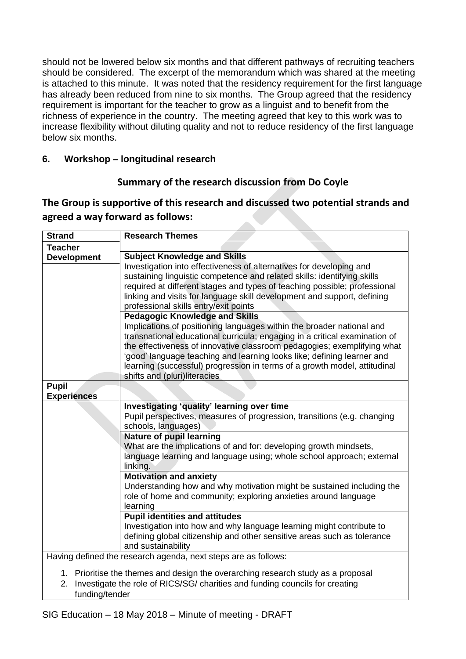should not be lowered below six months and that different pathways of recruiting teachers should be considered. The excerpt of the memorandum which was shared at the meeting is attached to this minute. It was noted that the residency requirement for the first language has already been reduced from nine to six months. The Group agreed that the residency requirement is important for the teacher to grow as a linguist and to benefit from the richness of experience in the country. The meeting agreed that key to this work was to increase flexibility without diluting quality and not to reduce residency of the first language below six months.

## **6. Workshop – longitudinal research**

## **Summary of the research discussion from Do Coyle**

#### **The Group is supportive of this research and discussed two potential strands and agreed a way forward as follows:**

| <b>Strand</b>                                                                      | <b>Research Themes</b>                                                     |
|------------------------------------------------------------------------------------|----------------------------------------------------------------------------|
| <b>Teacher</b>                                                                     |                                                                            |
| <b>Development</b>                                                                 | <b>Subject Knowledge and Skills</b>                                        |
|                                                                                    | Investigation into effectiveness of alternatives for developing and        |
|                                                                                    | sustaining linguistic competence and related skills: identifying skills    |
|                                                                                    | required at different stages and types of teaching possible; professional  |
|                                                                                    | linking and visits for language skill development and support, defining    |
|                                                                                    | professional skills entry/exit points                                      |
|                                                                                    | <b>Pedagogic Knowledge and Skills</b>                                      |
|                                                                                    | Implications of positioning languages within the broader national and      |
|                                                                                    | transnational educational curricula; engaging in a critical examination of |
|                                                                                    | the effectiveness of innovative classroom pedagogies; exemplifying what    |
|                                                                                    | 'good' language teaching and learning looks like; defining learner and     |
|                                                                                    | learning (successful) progression in terms of a growth model, attitudinal  |
| <b>Pupil</b>                                                                       | shifts and (pluri)literacies                                               |
| <b>Experiences</b>                                                                 |                                                                            |
|                                                                                    | Investigating 'quality' learning over time                                 |
|                                                                                    | Pupil perspectives, measures of progression, transitions (e.g. changing    |
|                                                                                    | schools, languages)                                                        |
|                                                                                    | <b>Nature of pupil learning</b>                                            |
|                                                                                    | What are the implications of and for: developing growth mindsets,          |
|                                                                                    | language learning and language using; whole school approach; external      |
|                                                                                    | linking.                                                                   |
|                                                                                    | <b>Motivation and anxiety</b>                                              |
|                                                                                    | Understanding how and why motivation might be sustained including the      |
|                                                                                    | role of home and community; exploring anxieties around language            |
|                                                                                    | learning                                                                   |
|                                                                                    | <b>Pupil identities and attitudes</b>                                      |
|                                                                                    | Investigation into how and why language learning might contribute to       |
|                                                                                    | defining global citizenship and other sensitive areas such as tolerance    |
|                                                                                    | and sustainability                                                         |
| Having defined the research agenda, next steps are as follows:                     |                                                                            |
| 1. Prioritise the themes and design the overarching research study as a proposal   |                                                                            |
| Investigate the role of RICS/SG/ charities and funding councils for creating<br>2. |                                                                            |
| funding/tender                                                                     |                                                                            |